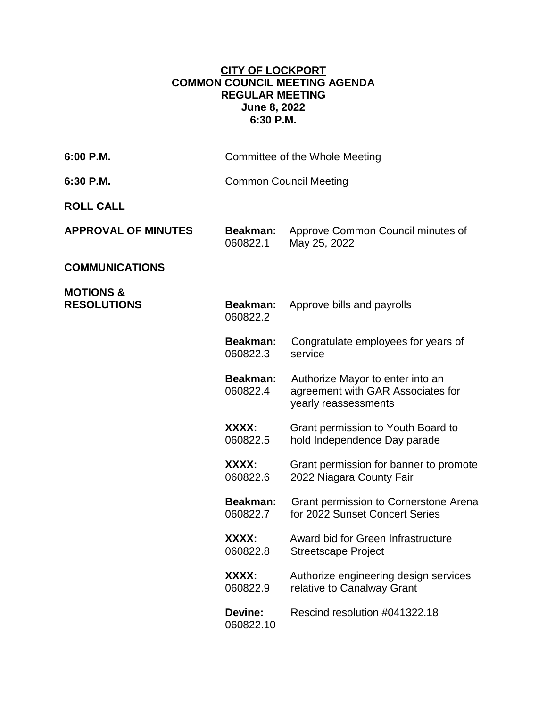## **CITY OF LOCKPORT COMMON COUNCIL MEETING AGENDA REGULAR MEETING June 8, 2022 6:30 P.M.**

| 6:00 P.M.                                  |                               | Committee of the Whole Meeting                                                                |
|--------------------------------------------|-------------------------------|-----------------------------------------------------------------------------------------------|
| 6:30 P.M.                                  | <b>Common Council Meeting</b> |                                                                                               |
| <b>ROLL CALL</b>                           |                               |                                                                                               |
| <b>APPROVAL OF MINUTES</b>                 | Beakman:<br>060822.1          | Approve Common Council minutes of<br>May 25, 2022                                             |
| <b>COMMUNICATIONS</b>                      |                               |                                                                                               |
| <b>MOTIONS &amp;</b><br><b>RESOLUTIONS</b> | Beakman:<br>060822.2          | Approve bills and payrolls                                                                    |
|                                            | <b>Beakman:</b><br>060822.3   | Congratulate employees for years of<br>service                                                |
|                                            | Beakman:<br>060822.4          | Authorize Mayor to enter into an<br>agreement with GAR Associates for<br>yearly reassessments |
|                                            | XXXX:<br>060822.5             | Grant permission to Youth Board to<br>hold Independence Day parade                            |
|                                            | XXXX:<br>060822.6             | Grant permission for banner to promote<br>2022 Niagara County Fair                            |
|                                            | Beakman:<br>060822.7          | Grant permission to Cornerstone Arena<br>for 2022 Sunset Concert Series                       |
|                                            | XXXX:<br>060822.8             | Award bid for Green Infrastructure<br><b>Streetscape Project</b>                              |
|                                            | XXXX:<br>060822.9             | Authorize engineering design services<br>relative to Canalway Grant                           |
|                                            | Devine:<br>060822.10          | Rescind resolution #041322.18                                                                 |